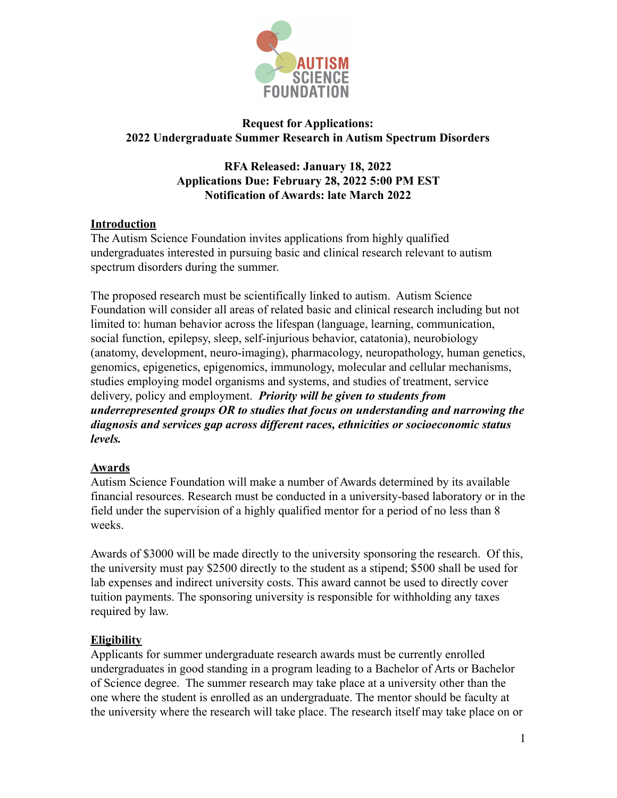

## **Request for Applications: 2022 Undergraduate Summer Research in Autism Spectrum Disorders**

## **RFA Released: January 18, 2022 Applications Due: February 28, 2022 5:00 PM EST Notification of Awards: late March 2022**

## **Introduction**

The Autism Science Foundation invites applications from highly qualified undergraduates interested in pursuing basic and clinical research relevant to autism spectrum disorders during the summer.

The proposed research must be scientifically linked to autism. Autism Science Foundation will consider all areas of related basic and clinical research including but not limited to: human behavior across the lifespan (language, learning, communication, social function, epilepsy, sleep, self-injurious behavior, catatonia), neurobiology (anatomy, development, neuro-imaging), pharmacology, neuropathology, human genetics, genomics, epigenetics, epigenomics, immunology, molecular and cellular mechanisms, studies employing model organisms and systems, and studies of treatment, service delivery, policy and employment. *Priority will be given to students from underrepresented groups OR to studies that focus on understanding and narrowing the diagnosis and services gap across different races, ethnicities or socioeconomic status levels.*

### **Awards**

Autism Science Foundation will make a number of Awards determined by its available financial resources. Research must be conducted in a university-based laboratory or in the field under the supervision of a highly qualified mentor for a period of no less than 8 weeks.

Awards of \$3000 will be made directly to the university sponsoring the research. Of this, the university must pay \$2500 directly to the student as a stipend; \$500 shall be used for lab expenses and indirect university costs. This award cannot be used to directly cover tuition payments. The sponsoring university is responsible for withholding any taxes required by law.

# **Eligibility**

Applicants for summer undergraduate research awards must be currently enrolled undergraduates in good standing in a program leading to a Bachelor of Arts or Bachelor of Science degree. The summer research may take place at a university other than the one where the student is enrolled as an undergraduate. The mentor should be faculty at the university where the research will take place. The research itself may take place on or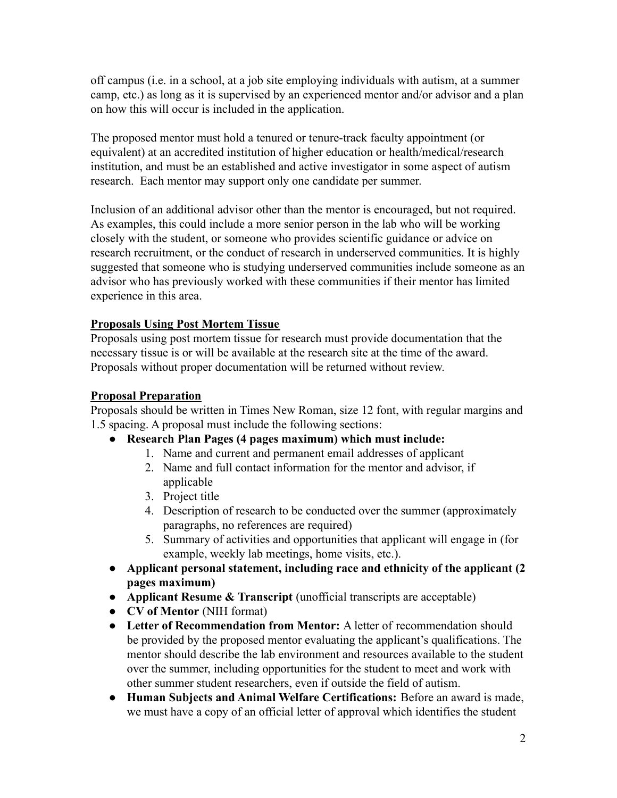off campus (i.e. in a school, at a job site employing individuals with autism, at a summer camp, etc.) as long as it is supervised by an experienced mentor and/or advisor and a plan on how this will occur is included in the application.

The proposed mentor must hold a tenured or tenure-track faculty appointment (or equivalent) at an accredited institution of higher education or health/medical/research institution, and must be an established and active investigator in some aspect of autism research. Each mentor may support only one candidate per summer.

Inclusion of an additional advisor other than the mentor is encouraged, but not required. As examples, this could include a more senior person in the lab who will be working closely with the student, or someone who provides scientific guidance or advice on research recruitment, or the conduct of research in underserved communities. It is highly suggested that someone who is studying underserved communities include someone as an advisor who has previously worked with these communities if their mentor has limited experience in this area.

# **Proposals Using Post Mortem Tissue**

Proposals using post mortem tissue for research must provide documentation that the necessary tissue is or will be available at the research site at the time of the award. Proposals without proper documentation will be returned without review.

## **Proposal Preparation**

Proposals should be written in Times New Roman, size 12 font, with regular margins and 1.5 spacing. A proposal must include the following sections:

- **Research Plan Pages (4 pages maximum) which must include:**
	- 1. Name and current and permanent email addresses of applicant
	- 2. Name and full contact information for the mentor and advisor, if applicable
	- 3. Project title
	- 4. Description of research to be conducted over the summer (approximately paragraphs, no references are required)
	- 5. Summary of activities and opportunities that applicant will engage in (for example, weekly lab meetings, home visits, etc.).
- **● Applicant personal statement, including race and ethnicity of the applicant (2 pages maximum)**
- **Applicant Resume & Transcript** (unofficial transcripts are acceptable)
- **CV of Mentor** (NIH format)
- **Letter of Recommendation from Mentor:** A letter of recommendation should be provided by the proposed mentor evaluating the applicant's qualifications. The mentor should describe the lab environment and resources available to the student over the summer, including opportunities for the student to meet and work with other summer student researchers, even if outside the field of autism.
- **Human Subjects and Animal Welfare Certifications:** Before an award is made, we must have a copy of an official letter of approval which identifies the student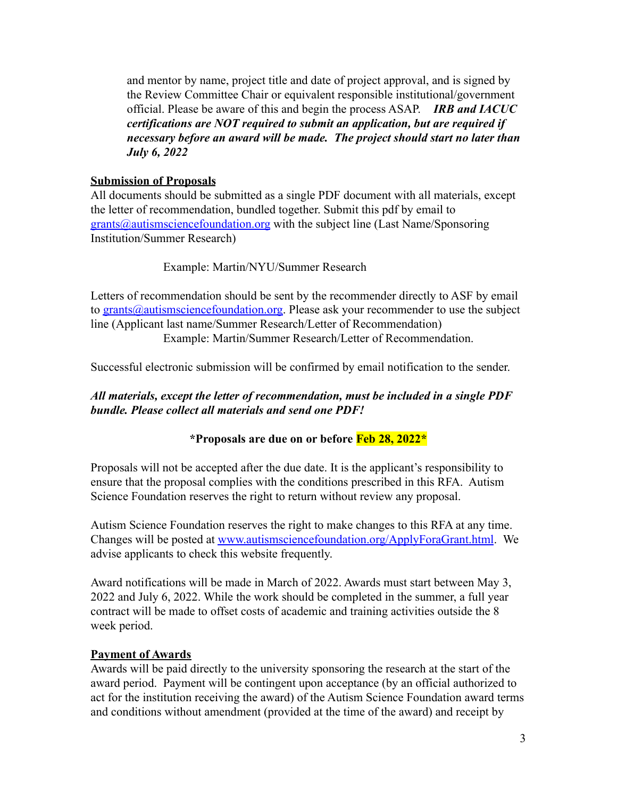and mentor by name, project title and date of project approval, and is signed by the Review Committee Chair or equivalent responsible institutional/government official. Please be aware of this and begin the process ASAP. *IRB and IACUC certifications are NOT required to submit an application, but are required if necessary before an award will be made. The project should start no later than July 6, 2022*

## **Submission of Proposals**

All documents should be submitted as a single PDF document with all materials, except the letter of recommendation, bundled together. Submit this pdf by email to [grants@autismsciencefoundation.org](mailto:grants@autismsciencefoundation.org) with the subject line (Last Name/Sponsoring Institution/Summer Research)

## Example: Martin/NYU/Summer Research

Letters of recommendation should be sent by the recommender directly to ASF by email to [grants@autismsciencefoundation.org.](mailto:grants@autismsciencefoundation.org) Please ask your recommender to use the subject line (Applicant last name/Summer Research/Letter of Recommendation) Example: Martin/Summer Research/Letter of Recommendation.

Successful electronic submission will be confirmed by email notification to the sender.

## *All materials, except the letter of recommendation, must be included in a single PDF bundle. Please collect all materials and send one PDF!*

# **\*Proposals are due on or before Feb 28, 2022\***

Proposals will not be accepted after the due date. It is the applicant's responsibility to ensure that the proposal complies with the conditions prescribed in this RFA. Autism Science Foundation reserves the right to return without review any proposal.

Autism Science Foundation reserves the right to make changes to this RFA at any time. Changes will be posted at [www.autismsciencefoundation.org/ApplyForaGrant.html](http://www.autismsciencefoundation.org/ApplyForaGrant.html). We advise applicants to check this website frequently.

Award notifications will be made in March of 2022. Awards must start between May 3, 2022 and July 6, 2022. While the work should be completed in the summer, a full year contract will be made to offset costs of academic and training activities outside the 8 week period.

### **Payment of Awards**

Awards will be paid directly to the university sponsoring the research at the start of the award period. Payment will be contingent upon acceptance (by an official authorized to act for the institution receiving the award) of the Autism Science Foundation award terms and conditions without amendment (provided at the time of the award) and receipt by